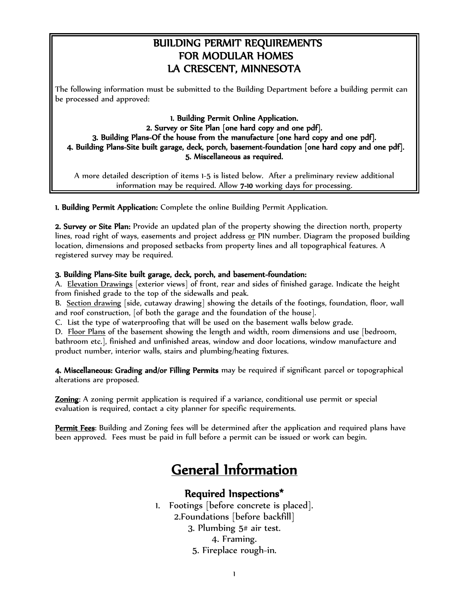## BUILDING PERMIT REQUIREMENTS FOR MODULAR HOMES LA CRESCENT, MINNESOTA

The following information must be submitted to the Building Department before a building permit can be processed and approved:

1. Building Permit Online Application. 2. Survey or Site Plan [one hard copy and one pdf]. 3. Building Plans-Of the house from the manufacture [one hard copy and one pdf]. 4. Building Plans-Site built garage, deck, porch, basement-foundation [one hard copy and one pdf]. 5. Miscellaneous as required.

A more detailed description of items 1-5 is listed below. After a preliminary review additional information may be required. Allow 7-10 working days for processing.

1. Building Permit Application: Complete the online Building Permit Application.

2. Survey or Site Plan: Provide an updated plan of the property showing the direction north, property lines, road right of ways, easements and project address or PIN number. Diagram the proposed building location, dimensions and proposed setbacks from property lines and all topographical features. A registered survey may be required.

#### 3. Building Plans-Site built garage, deck, porch, and basement-foundation:

A. Elevation Drawings [exterior views] of front, rear and sides of finished garage. Indicate the height from finished grade to the top of the sidewalls and peak.

B. Section drawing [side, cutaway drawing] showing the details of the footings, foundation, floor, wall and roof construction, [of both the garage and the foundation of the house].

C. List the type of waterproofing that will be used on the basement walls below grade.

D. Floor Plans of the basement showing the length and width, room dimensions and use [bedroom, bathroom etc.], finished and unfinished areas, window and door locations, window manufacture and product number, interior walls, stairs and plumbing/heating fixtures.

4. Miscellaneous: Grading and/or Filling Permits may be required if significant parcel or topographical alterations are proposed.

**Zoning:** A zoning permit application is required if a variance, conditional use permit or special evaluation is required, contact a city planner for specific requirements.

Permit Fees: Building and Zoning fees will be determined after the application and required plans have been approved. Fees must be paid in full before a permit can be issued or work can begin.

# General Information

### Required Inspections\*

1. Footings [before concrete is placed]. 2.Foundations [before backfill] 3. Plumbing 5# air test. 4. Framing. 5. Fireplace rough-in.